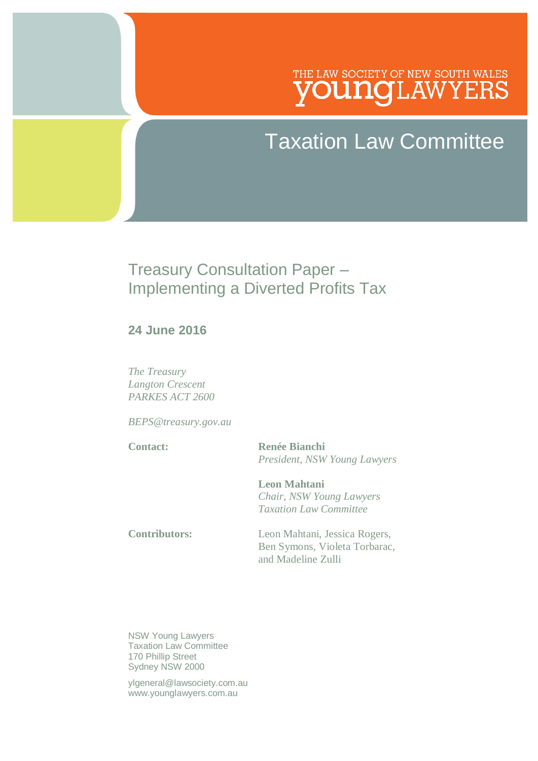# THE LAW SOCIETY OF NEW SOUTH WALES .nalawyers

# Taxation Law Committee

# Treasury Consultation Paper – Implementing a Diverted Profits Tax

#### **24 June 2016**

*The Treasury Langton Crescent PARKES ACT 2600*

*BEPS@treasury.gov.au*

**Contact: Renée Bianchi** *President, NSW Young Lawyers*

> **Leon Mahtani** *Chair, NSW Young Lawyers Taxation Law Committee*

**Contributors:** Leon Mahtani, Jessica Rogers, Ben Symons, Violeta Torbarac, and Madeline Zulli

NSW Young Lawyers Taxation Law Committee 170 Phillip Street Sydney NSW 2000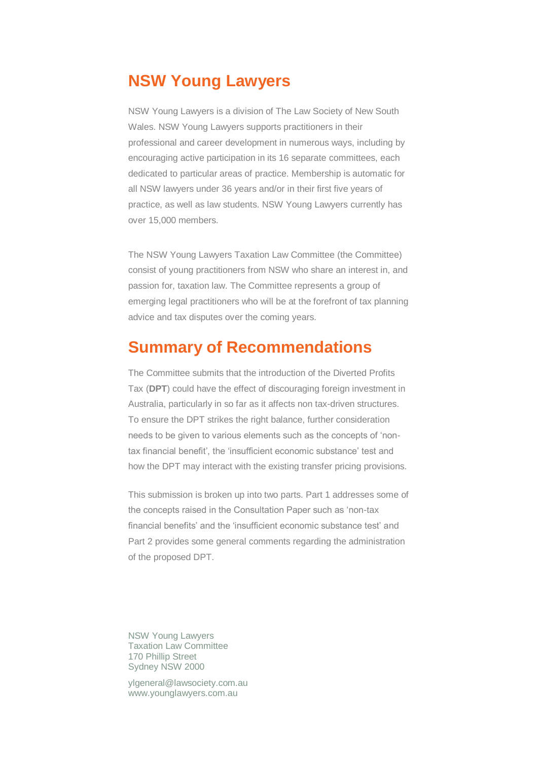### **NSW Young Lawyers**

NSW Young Lawyers is a division of The Law Society of New South Wales. NSW Young Lawyers supports practitioners in their professional and career development in numerous ways, including by encouraging active participation in its 16 separate committees, each dedicated to particular areas of practice. Membership is automatic for all NSW lawyers under 36 years and/or in their first five years of practice, as well as law students. NSW Young Lawyers currently has over 15,000 members.

The NSW Young Lawyers Taxation Law Committee (the Committee) consist of young practitioners from NSW who share an interest in, and passion for, taxation law. The Committee represents a group of emerging legal practitioners who will be at the forefront of tax planning advice and tax disputes over the coming years.

### **Summary of Recommendations**

The Committee submits that the introduction of the Diverted Profits Tax (**DPT**) could have the effect of discouraging foreign investment in Australia, particularly in so far as it affects non tax-driven structures. To ensure the DPT strikes the right balance, further consideration needs to be given to various elements such as the concepts of 'nontax financial benefit', the 'insufficient economic substance' test and how the DPT may interact with the existing transfer pricing provisions.

This submission is broken up into two parts. Part 1 addresses some of the concepts raised in the Consultation Paper such as 'non-tax financial benefits' and the 'insufficient economic substance test' and Part 2 provides some general comments regarding the administration of the proposed DPT.

NSW Young Lawyers Taxation Law Committee 170 Phillip Street Sydney NSW 2000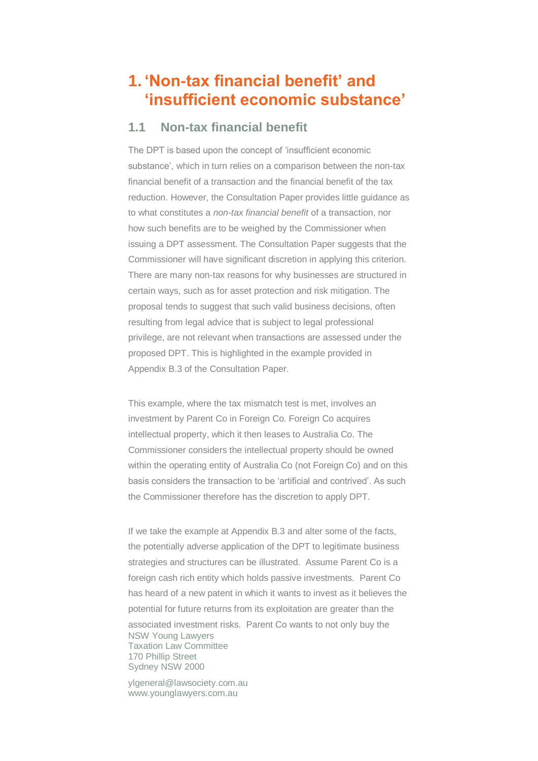## **1. 'Non-tax financial benefit' and 'insufficient economic substance'**

#### **1.1 Non-tax financial benefit**

The DPT is based upon the concept of 'insufficient economic substance', which in turn relies on a comparison between the non-tax financial benefit of a transaction and the financial benefit of the tax reduction. However, the Consultation Paper provides little guidance as to what constitutes a *non-tax financial benefit* of a transaction, nor how such benefits are to be weighed by the Commissioner when issuing a DPT assessment. The Consultation Paper suggests that the Commissioner will have significant discretion in applying this criterion. There are many non-tax reasons for why businesses are structured in certain ways, such as for asset protection and risk mitigation. The proposal tends to suggest that such valid business decisions, often resulting from legal advice that is subject to legal professional privilege, are not relevant when transactions are assessed under the proposed DPT. This is highlighted in the example provided in Appendix B.3 of the Consultation Paper.

This example, where the tax mismatch test is met, involves an investment by Parent Co in Foreign Co. Foreign Co acquires intellectual property, which it then leases to Australia Co. The Commissioner considers the intellectual property should be owned within the operating entity of Australia Co (not Foreign Co) and on this basis considers the transaction to be 'artificial and contrived'. As such the Commissioner therefore has the discretion to apply DPT.

NSW Young Lawyers Taxation Law Committee 170 Phillip Street Sydney NSW 2000 If we take the example at Appendix B.3 and alter some of the facts, the potentially adverse application of the DPT to legitimate business strategies and structures can be illustrated. Assume Parent Co is a foreign cash rich entity which holds passive investments. Parent Co has heard of a new patent in which it wants to invest as it believes the potential for future returns from its exploitation are greater than the associated investment risks. Parent Co wants to not only buy the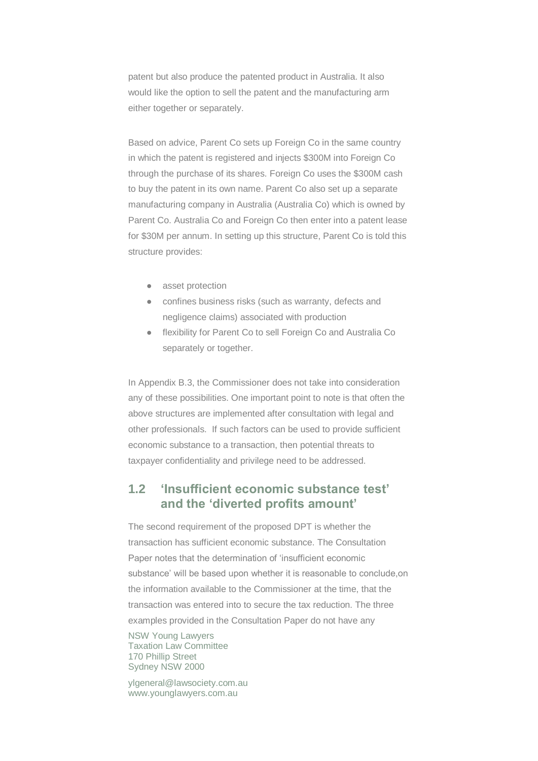patent but also produce the patented product in Australia. It also would like the option to sell the patent and the manufacturing arm either together or separately.

Based on advice, Parent Co sets up Foreign Co in the same country in which the patent is registered and injects \$300M into Foreign Co through the purchase of its shares. Foreign Co uses the \$300M cash to buy the patent in its own name. Parent Co also set up a separate manufacturing company in Australia (Australia Co) which is owned by Parent Co. Australia Co and Foreign Co then enter into a patent lease for \$30M per annum. In setting up this structure, Parent Co is told this structure provides:

- asset protection
- confines business risks (such as warranty, defects and negligence claims) associated with production
- flexibility for Parent Co to sell Foreign Co and Australia Co separately or together.

In Appendix B.3, the Commissioner does not take into consideration any of these possibilities. One important point to note is that often the above structures are implemented after consultation with legal and other professionals. If such factors can be used to provide sufficient economic substance to a transaction, then potential threats to taxpayer confidentiality and privilege need to be addressed.

#### **1.2 'Insufficient economic substance test' and the 'diverted profits amount'**

The second requirement of the proposed DPT is whether the transaction has sufficient economic substance. The Consultation Paper notes that the determination of 'insufficient economic substance' will be based upon whether it is reasonable to conclude,on the information available to the Commissioner at the time, that the transaction was entered into to secure the tax reduction. The three examples provided in the Consultation Paper do not have any

NSW Young Lawyers Taxation Law Committee 170 Phillip Street Sydney NSW 2000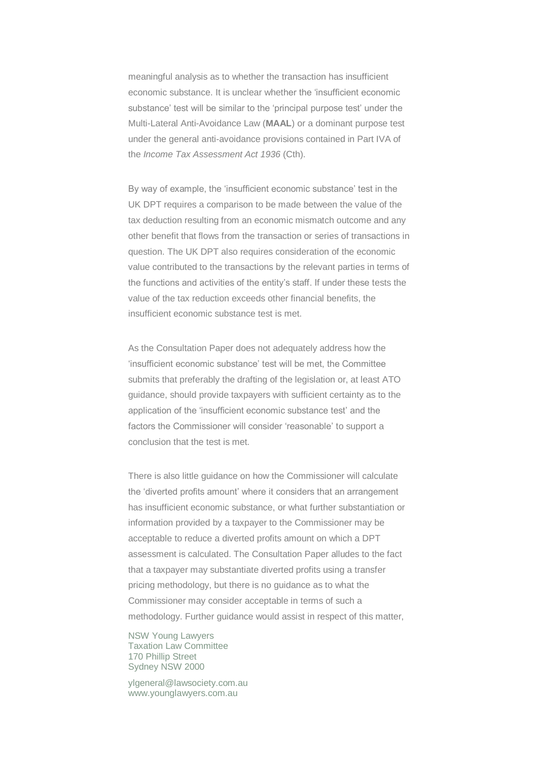meaningful analysis as to whether the transaction has insufficient economic substance. It is unclear whether the 'insufficient economic substance' test will be similar to the 'principal purpose test' under the Multi-Lateral Anti-Avoidance Law (**MAAL**) or a dominant purpose test under the general anti-avoidance provisions contained in Part IVA of the *Income Tax Assessment Act 1936* (Cth).

By way of example, the 'insufficient economic substance' test in the UK DPT requires a comparison to be made between the value of the tax deduction resulting from an economic mismatch outcome and any other benefit that flows from the transaction or series of transactions in question. The UK DPT also requires consideration of the economic value contributed to the transactions by the relevant parties in terms of the functions and activities of the entity's staff. If under these tests the value of the tax reduction exceeds other financial benefits, the insufficient economic substance test is met.

As the Consultation Paper does not adequately address how the 'insufficient economic substance' test will be met, the Committee submits that preferably the drafting of the legislation or, at least ATO guidance, should provide taxpayers with sufficient certainty as to the application of the 'insufficient economic substance test' and the factors the Commissioner will consider 'reasonable' to support a conclusion that the test is met.

There is also little guidance on how the Commissioner will calculate the 'diverted profits amount' where it considers that an arrangement has insufficient economic substance, or what further substantiation or information provided by a taxpayer to the Commissioner may be acceptable to reduce a diverted profits amount on which a DPT assessment is calculated. The Consultation Paper alludes to the fact that a taxpayer may substantiate diverted profits using a transfer pricing methodology, but there is no guidance as to what the Commissioner may consider acceptable in terms of such a methodology. Further guidance would assist in respect of this matter,

NSW Young Lawyers Taxation Law Committee 170 Phillip Street Sydney NSW 2000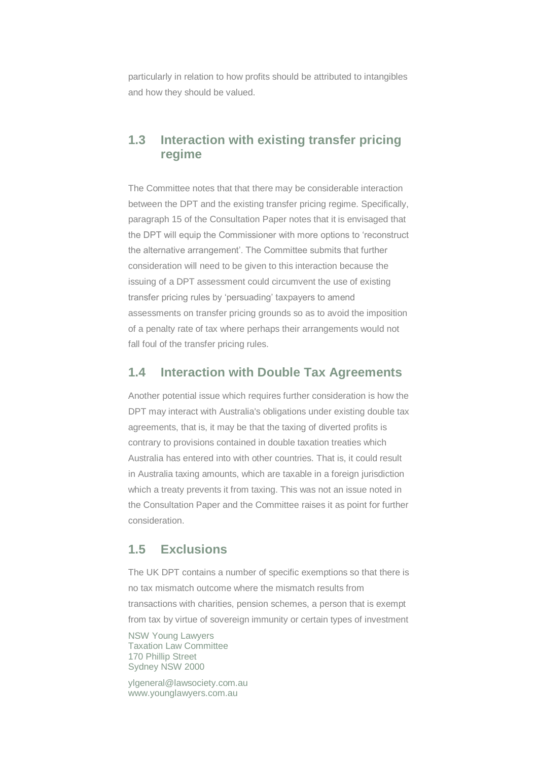particularly in relation to how profits should be attributed to intangibles and how they should be valued.

#### **1.3 Interaction with existing transfer pricing regime**

The Committee notes that that there may be considerable interaction between the DPT and the existing transfer pricing regime. Specifically, paragraph 15 of the Consultation Paper notes that it is envisaged that the DPT will equip the Commissioner with more options to 'reconstruct the alternative arrangement'. The Committee submits that further consideration will need to be given to this interaction because the issuing of a DPT assessment could circumvent the use of existing transfer pricing rules by 'persuading' taxpayers to amend assessments on transfer pricing grounds so as to avoid the imposition of a penalty rate of tax where perhaps their arrangements would not fall foul of the transfer pricing rules.

#### **1.4 Interaction with Double Tax Agreements**

Another potential issue which requires further consideration is how the DPT may interact with Australia's obligations under existing double tax agreements, that is, it may be that the taxing of diverted profits is contrary to provisions contained in double taxation treaties which Australia has entered into with other countries. That is, it could result in Australia taxing amounts, which are taxable in a foreign jurisdiction which a treaty prevents it from taxing. This was not an issue noted in the Consultation Paper and the Committee raises it as point for further consideration.

#### **1.5 Exclusions**

The UK DPT contains a number of specific exemptions so that there is no tax mismatch outcome where the mismatch results from transactions with charities, pension schemes, a person that is exempt from tax by virtue of sovereign immunity or certain types of investment

NSW Young Lawyers Taxation Law Committee 170 Phillip Street Sydney NSW 2000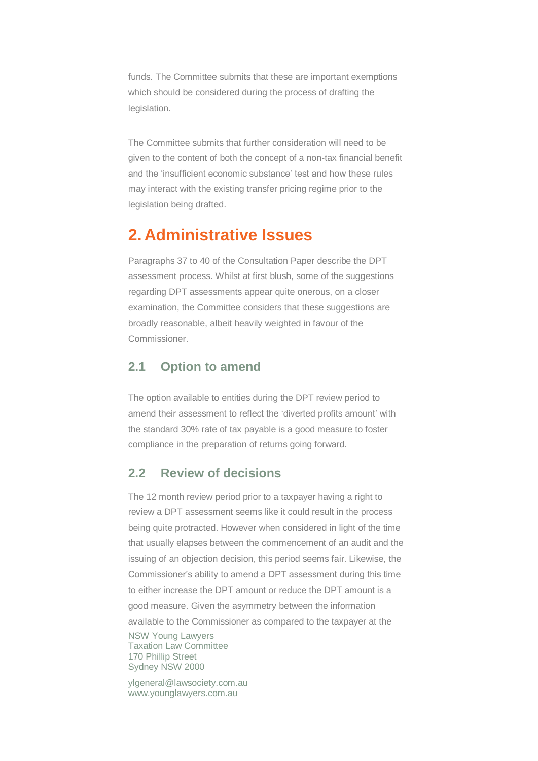funds. The Committee submits that these are important exemptions which should be considered during the process of drafting the legislation.

The Committee submits that further consideration will need to be given to the content of both the concept of a non-tax financial benefit and the 'insufficient economic substance' test and how these rules may interact with the existing transfer pricing regime prior to the legislation being drafted.

### **2. Administrative Issues**

Paragraphs 37 to 40 of the Consultation Paper describe the DPT assessment process. Whilst at first blush, some of the suggestions regarding DPT assessments appear quite onerous, on a closer examination, the Committee considers that these suggestions are broadly reasonable, albeit heavily weighted in favour of the Commissioner.

#### **2.1 Option to amend**

The option available to entities during the DPT review period to amend their assessment to reflect the 'diverted profits amount' with the standard 30% rate of tax payable is a good measure to foster compliance in the preparation of returns going forward.

#### **2.2 Review of decisions**

NSW Young Lawyers Taxation Law Committee 170 Phillip Street Sydney NSW 2000 The 12 month review period prior to a taxpayer having a right to review a DPT assessment seems like it could result in the process being quite protracted. However when considered in light of the time that usually elapses between the commencement of an audit and the issuing of an objection decision, this period seems fair. Likewise, the Commissioner's ability to amend a DPT assessment during this time to either increase the DPT amount or reduce the DPT amount is a good measure. Given the asymmetry between the information available to the Commissioner as compared to the taxpayer at the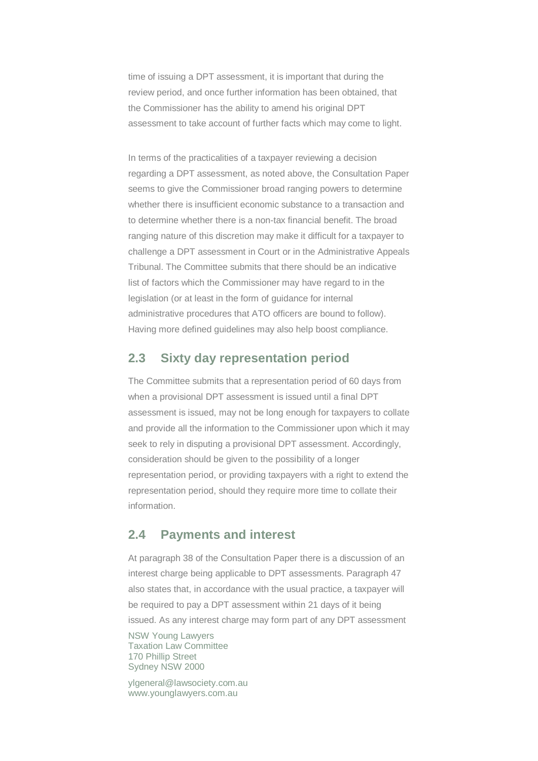time of issuing a DPT assessment, it is important that during the review period, and once further information has been obtained, that the Commissioner has the ability to amend his original DPT assessment to take account of further facts which may come to light.

In terms of the practicalities of a taxpayer reviewing a decision regarding a DPT assessment, as noted above, the Consultation Paper seems to give the Commissioner broad ranging powers to determine whether there is insufficient economic substance to a transaction and to determine whether there is a non-tax financial benefit. The broad ranging nature of this discretion may make it difficult for a taxpayer to challenge a DPT assessment in Court or in the Administrative Appeals Tribunal. The Committee submits that there should be an indicative list of factors which the Commissioner may have regard to in the legislation (or at least in the form of guidance for internal administrative procedures that ATO officers are bound to follow). Having more defined guidelines may also help boost compliance.

#### **2.3 Sixty day representation period**

The Committee submits that a representation period of 60 days from when a provisional DPT assessment is issued until a final DPT assessment is issued, may not be long enough for taxpayers to collate and provide all the information to the Commissioner upon which it may seek to rely in disputing a provisional DPT assessment. Accordingly, consideration should be given to the possibility of a longer representation period, or providing taxpayers with a right to extend the representation period, should they require more time to collate their information.

#### **2.4 Payments and interest**

At paragraph 38 of the Consultation Paper there is a discussion of an interest charge being applicable to DPT assessments. Paragraph 47 also states that, in accordance with the usual practice, a taxpayer will be required to pay a DPT assessment within 21 days of it being issued. As any interest charge may form part of any DPT assessment

NSW Young Lawyers Taxation Law Committee 170 Phillip Street Sydney NSW 2000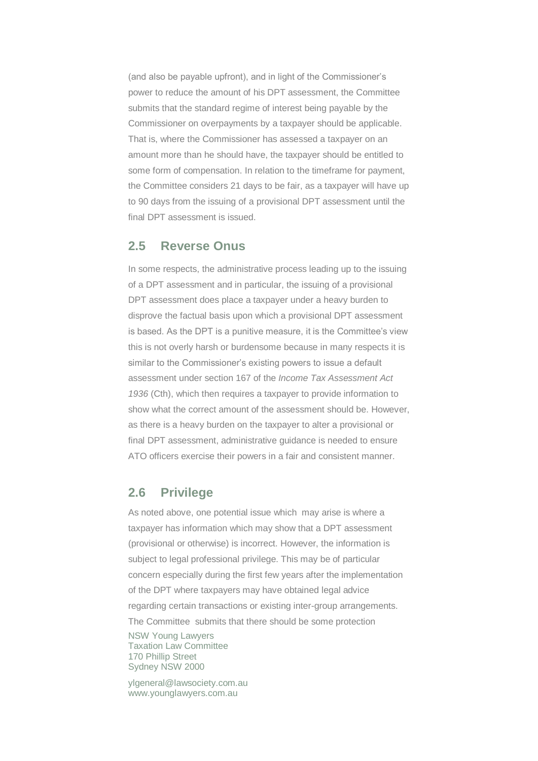(and also be payable upfront), and in light of the Commissioner's power to reduce the amount of his DPT assessment, the Committee submits that the standard regime of interest being payable by the Commissioner on overpayments by a taxpayer should be applicable. That is, where the Commissioner has assessed a taxpayer on an amount more than he should have, the taxpayer should be entitled to some form of compensation. In relation to the timeframe for payment, the Committee considers 21 days to be fair, as a taxpayer will have up to 90 days from the issuing of a provisional DPT assessment until the final DPT assessment is issued.

#### **2.5 Reverse Onus**

In some respects, the administrative process leading up to the issuing of a DPT assessment and in particular, the issuing of a provisional DPT assessment does place a taxpayer under a heavy burden to disprove the factual basis upon which a provisional DPT assessment is based. As the DPT is a punitive measure, it is the Committee's view this is not overly harsh or burdensome because in many respects it is similar to the Commissioner's existing powers to issue a default assessment under section 167 of the *Income Tax Assessment Act 1936* (Cth), which then requires a taxpayer to provide information to show what the correct amount of the assessment should be. However, as there is a heavy burden on the taxpayer to alter a provisional or final DPT assessment, administrative guidance is needed to ensure ATO officers exercise their powers in a fair and consistent manner.

#### **2.6 Privilege**

NSW Young Lawyers Taxation Law Committee 170 Phillip Street Sydney NSW 2000 As noted above, one potential issue which may arise is where a taxpayer has information which may show that a DPT assessment (provisional or otherwise) is incorrect. However, the information is subject to legal professional privilege. This may be of particular concern especially during the first few years after the implementation of the DPT where taxpayers may have obtained legal advice regarding certain transactions or existing inter-group arrangements. The Committee submits that there should be some protection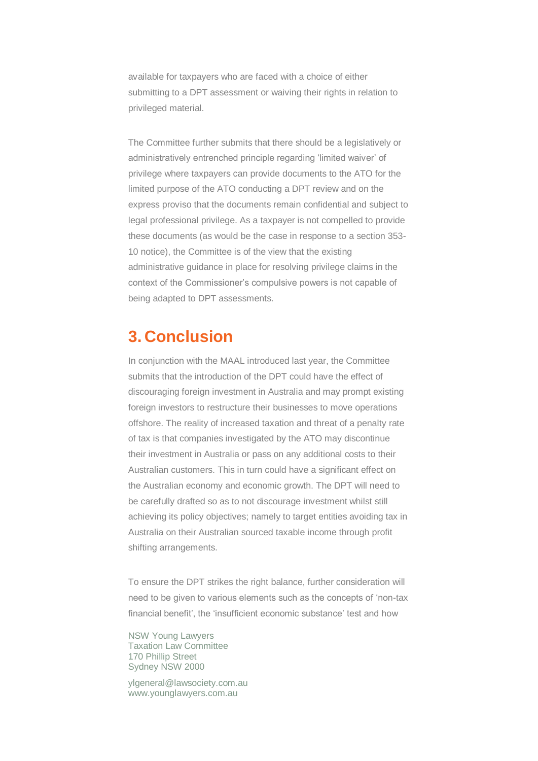available for taxpayers who are faced with a choice of either submitting to a DPT assessment or waiving their rights in relation to privileged material.

The Committee further submits that there should be a legislatively or administratively entrenched principle regarding 'limited waiver' of privilege where taxpayers can provide documents to the ATO for the limited purpose of the ATO conducting a DPT review and on the express proviso that the documents remain confidential and subject to legal professional privilege. As a taxpayer is not compelled to provide these documents (as would be the case in response to a section 353- 10 notice), the Committee is of the view that the existing administrative guidance in place for resolving privilege claims in the context of the Commissioner's compulsive powers is not capable of being adapted to DPT assessments.

### **3. Conclusion**

In conjunction with the MAAL introduced last year, the Committee submits that the introduction of the DPT could have the effect of discouraging foreign investment in Australia and may prompt existing foreign investors to restructure their businesses to move operations offshore. The reality of increased taxation and threat of a penalty rate of tax is that companies investigated by the ATO may discontinue their investment in Australia or pass on any additional costs to their Australian customers. This in turn could have a significant effect on the Australian economy and economic growth. The DPT will need to be carefully drafted so as to not discourage investment whilst still achieving its policy objectives; namely to target entities avoiding tax in Australia on their Australian sourced taxable income through profit shifting arrangements.

To ensure the DPT strikes the right balance, further consideration will need to be given to various elements such as the concepts of 'non-tax financial benefit', the 'insufficient economic substance' test and how

NSW Young Lawyers Taxation Law Committee 170 Phillip Street Sydney NSW 2000